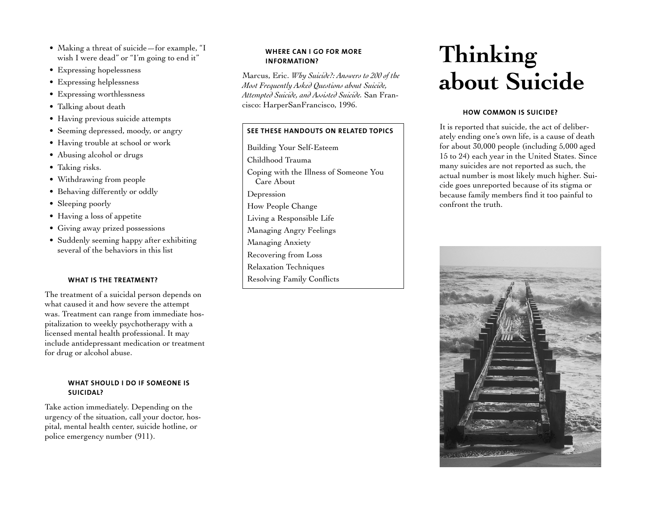- Making a threat of suicide—for example, "I wish I were dead" or "I'm going to end it"
- Expressing hopelessness
- Expressing helplessness
- Expressing worthlessness
- Talking about death
- Having previous suicide attempts
- Seeming depressed, moody, or angry
- Having trouble at school or work
- Abusing alcohol or drugs
- Taking risks.
- Withdrawing from people
- Behaving differently or oddly
- Sleeping poorly
- Having a loss of appetite
- Giving away prized possessions
- Suddenly seeming happy after exhibiting several of the behaviors in this list

## **WHAT IS THE TREATMENT?**

The treatment of a suicidal person depends on what caused it and how severe the attempt was. Treatment can range from immediate hos<sup>p</sup>italization to weekly psychotherapy with a licensed mental health professional. It may include antidepressant medication or treatment for drug or alcohol abuse.

### **WHAT SHOULD I DO IF SOMEONE IS SUICIDAL?**

Take action immediately. Depending on the urgency of the situation, call your doctor, hos<sup>p</sup>ital, mental health center, suicide hotline, or police emergency number (911).

## **WHERE CAN I GO FOR MORE INFORMATION?**

Marcus, Eric. *Why Suicide?: Answers to 200 of the Most Frequently Asked Questions about Suicide, Attempted Suicide, and Assisted Suicide.* San Francisco: HarperSanFrancisco, 1996.

# **SEE THESE HANDOUTS ON RELATED TOPICS**

Building Your Self-Esteem Childhood Trauma Coping with the Illness of Someone You Care About Depression How People Change Living a Responsible Life Managing Angry Feelings Managing Anxiety Recovering from Loss Relaxation Techniques Resolving Family Conflicts

# **Thinking about Suicide**

# **HOW COMMON IS SUICIDE?**

It is reported that suicide, the act of deliberately ending one's own life, is a cause of death for about 30,000 people (including 5,000 aged 15 to 24) each year in the United States. Since many suicides are not reported as such, the actual number is most likely much higher. Suicide goes unreported because of its stigma or because family members find it too painful to confront the truth.